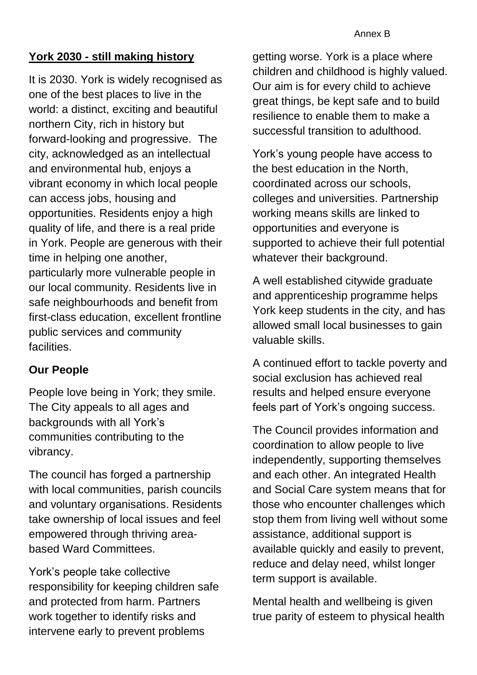## **York 2030 - still making history**

It is 2030. York is widely recognised as one of the best places to live in the world: a distinct, exciting and beautiful northern City, rich in history but forward-looking and progressive. The city, acknowledged as an intellectual and environmental hub, enjoys a vibrant economy in which local people can access jobs, housing and opportunities. Residents enjoy a high quality of life, and there is a real pride in York. People are generous with their time in helping one another, particularly more vulnerable people in our local community. Residents live in safe neighbourhoods and benefit from first-class education, excellent frontline public services and community **facilities** 

## **Our People**

People love being in York; they smile. The City appeals to all ages and backgrounds with all York's communities contributing to the vibrancy.

The council has forged a partnership with local communities, parish councils and voluntary organisations. Residents take ownership of local issues and feel empowered through thriving areabased Ward Committees.

York's people take collective responsibility for keeping children safe and protected from harm. Partners work together to identify risks and intervene early to prevent problems

getting worse. York is a place where children and childhood is highly valued. Our aim is for every child to achieve great things, be kept safe and to build resilience to enable them to make a successful transition to adulthood.

York's young people have access to the best education in the North, coordinated across our schools, colleges and universities. Partnership working means skills are linked to opportunities and everyone is supported to achieve their full potential whatever their background.

A well established citywide graduate and apprenticeship programme helps York keep students in the city, and has allowed small local businesses to gain valuable skills.

A continued effort to tackle poverty and social exclusion has achieved real results and helped ensure everyone feels part of York's ongoing success.

The Council provides information and coordination to allow people to live independently, supporting themselves and each other. An integrated Health and Social Care system means that for those who encounter challenges which stop them from living well without some assistance, additional support is available quickly and easily to prevent, reduce and delay need, whilst longer term support is available.

Mental health and wellbeing is given true parity of esteem to physical health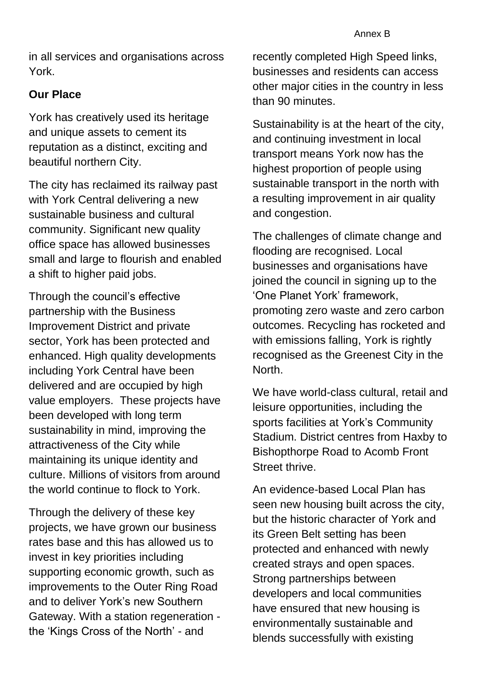in all services and organisations across York.

## **Our Place**

York has creatively used its heritage and unique assets to cement its reputation as a distinct, exciting and beautiful northern City.

The city has reclaimed its railway past with York Central delivering a new sustainable business and cultural community. Significant new quality office space has allowed businesses small and large to flourish and enabled a shift to higher paid jobs.

Through the council's effective partnership with the Business Improvement District and private sector, York has been protected and enhanced. High quality developments including York Central have been delivered and are occupied by high value employers. These projects have been developed with long term sustainability in mind, improving the attractiveness of the City while maintaining its unique identity and culture. Millions of visitors from around the world continue to flock to York.

Through the delivery of these key projects, we have grown our business rates base and this has allowed us to invest in key priorities including supporting economic growth, such as improvements to the Outer Ring Road and to deliver York's new Southern Gateway. With a station regeneration the 'Kings Cross of the North' - and

recently completed High Speed links, businesses and residents can access other major cities in the country in less than 90 minutes.

Sustainability is at the heart of the city, and continuing investment in local transport means York now has the highest proportion of people using sustainable transport in the north with a resulting improvement in air quality and congestion.

The challenges of climate change and flooding are recognised. Local businesses and organisations have joined the council in signing up to the 'One Planet York' framework, promoting zero waste and zero carbon outcomes. Recycling has rocketed and with emissions falling, York is rightly recognised as the Greenest City in the North.

We have world-class cultural, retail and leisure opportunities, including the sports facilities at York's Community Stadium. District centres from Haxby to Bishopthorpe Road to Acomb Front Street thrive.

An evidence-based Local Plan has seen new housing built across the city, but the historic character of York and its Green Belt setting has been protected and enhanced with newly created strays and open spaces. Strong partnerships between developers and local communities have ensured that new housing is environmentally sustainable and blends successfully with existing